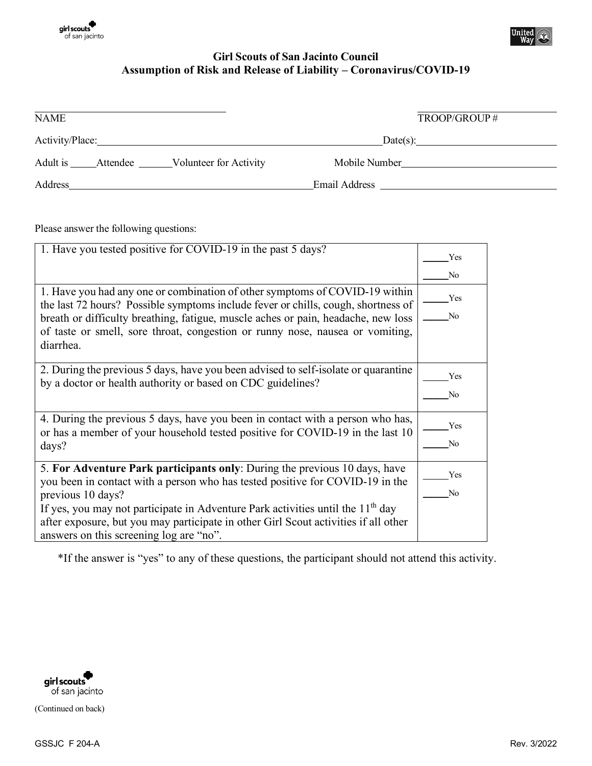



## **Girl Scouts of San Jacinto Council Assumption of Risk and Release of Liability – Coronavirus/COVID-19**

| <b>NAME</b>       |  |                        | TROOP/GROUP#  |
|-------------------|--|------------------------|---------------|
| Activity/Place:   |  |                        |               |
| Adult is Attendee |  | Volunteer for Activity | Mobile Number |
| Address           |  |                        | Email Address |

Please answer the following questions:

| 1. Have you tested positive for COVID-19 in the past 5 days?                                                                                                           | Yes            |
|------------------------------------------------------------------------------------------------------------------------------------------------------------------------|----------------|
|                                                                                                                                                                        | No             |
| 1. Have you had any one or combination of other symptoms of COVID-19 within                                                                                            | Yes            |
| the last 72 hours? Possible symptoms include fever or chills, cough, shortness of<br>breath or difficulty breathing, fatigue, muscle aches or pain, headache, new loss | No             |
| of taste or smell, sore throat, congestion or runny nose, nausea or vomiting,                                                                                          |                |
| diarrhea.                                                                                                                                                              |                |
| 2. During the previous 5 days, have you been advised to self-isolate or quarantine                                                                                     | Yes            |
| by a doctor or health authority or based on CDC guidelines?                                                                                                            | No             |
| 4. During the previous 5 days, have you been in contact with a person who has,                                                                                         |                |
| or has a member of your household tested positive for COVID-19 in the last 10                                                                                          | Yes            |
| days?                                                                                                                                                                  | No             |
| 5. For Adventure Park participants only: During the previous 10 days, have                                                                                             | Yes            |
| you been in contact with a person who has tested positive for COVID-19 in the<br>previous 10 days?                                                                     | N <sub>0</sub> |
| If yes, you may not participate in Adventure Park activities until the 11 <sup>th</sup> day                                                                            |                |
| after exposure, but you may participate in other Girl Scout activities if all other                                                                                    |                |
| answers on this screening log are "no".                                                                                                                                |                |

\*If the answer is "yes" to any of these questions, the participant should not attend this activity.

girl scouts<br>of san jacinto

(Continued on back)